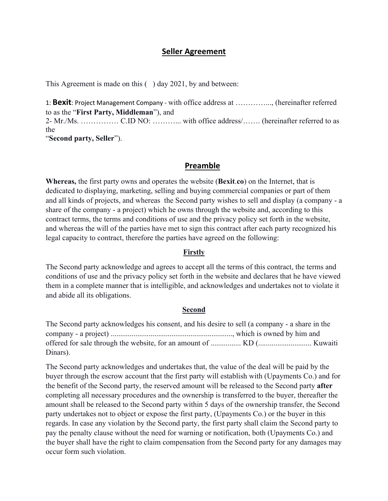# **Seller Agreement**

This Agreement is made on this () day 2021, by and between:

1: **Bexit**: Project Management Company - with office address at …………..., (hereinafter referred to as the "**First Party, Middleman**"), and 2- Mr./Ms. …………… C.ID NO: ………... with office address/……. (hereinafter referred to as the "**Second party, Seller**").

## **Preamble**

**Whereas,** the first party owns and operates the website (**Bexit**.**co**) on the Internet, that is dedicated to displaying, marketing, selling and buying commercial companies or part of them and all kinds of projects, and whereas the Second party wishes to sell and display (a company - a share of the company - a project) which he owns through the website and, according to this contract terms, the terms and conditions of use and the privacy policy set forth in the website, and whereas the will of the parties have met to sign this contract after each party recognized his legal capacity to contract, therefore the parties have agreed on the following:

### **Firstly**

The Second party acknowledge and agrees to accept all the terms of this contract, the terms and conditions of use and the privacy policy set forth in the website and declares that he have viewed them in a complete manner that is intelligible, and acknowledges and undertakes not to violate it and abide all its obligations.

### **Second**

The Second party acknowledges his consent, and his desire to sell (a company - a share in the company - a project) ................................................................, which is owned by him and offered for sale through the website, for an amount of ................ KD (............................ Kuwaiti Dinars).

The Second party acknowledges and undertakes that, the value of the deal will be paid by the buyer through the escrow account that the first party will establish with (Upayments Co.) and for the benefit of the Second party, the reserved amount will be released to the Second party **after** completing all necessary procedures and the ownership is transferred to the buyer, thereafter the amount shall be released to the Second party within 5 days of the ownership transfer, the Second party undertakes not to object or expose the first party, (Upayments Co.) or the buyer in this regards. In case any violation by the Second party, the first party shall claim the Second party to pay the penalty clause without the need for warning or notification, both (Upayments Co.) and the buyer shall have the right to claim compensation from the Second party for any damages may occur form such violation.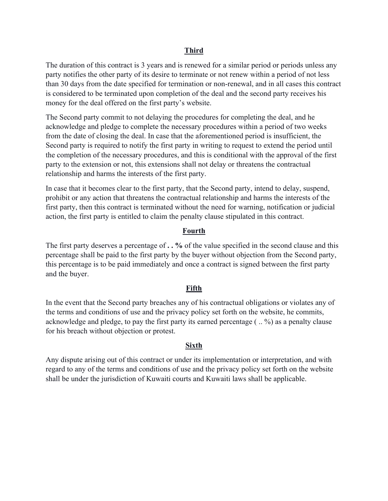## **Third**

The duration of this contract is 3 years and is renewed for a similar period or periods unless any party notifies the other party of its desire to terminate or not renew within a period of not less than 30 days from the date specified for termination or non-renewal, and in all cases this contract is considered to be terminated upon completion of the deal and the second party receives his money for the deal offered on the first party's website.

The Second party commit to not delaying the procedures for completing the deal, and he acknowledge and pledge to complete the necessary procedures within a period of two weeks from the date of closing the deal. In case that the aforementioned period is insufficient, the Second party is required to notify the first party in writing to request to extend the period until the completion of the necessary procedures, and this is conditional with the approval of the first party to the extension or not, this extensions shall not delay or threatens the contractual relationship and harms the interests of the first party.

In case that it becomes clear to the first party, that the Second party, intend to delay, suspend, prohibit or any action that threatens the contractual relationship and harms the interests of the first party, then this contract is terminated without the need for warning, notification or judicial action, the first party is entitled to claim the penalty clause stipulated in this contract.

## **Fourth**

The first party deserves a percentage of **. . %** of the value specified in the second clause and this percentage shall be paid to the first party by the buyer without objection from the Second party, this percentage is to be paid immediately and once a contract is signed between the first party and the buyer.

#### **Fifth**

In the event that the Second party breaches any of his contractual obligations or violates any of the terms and conditions of use and the privacy policy set forth on the website, he commits, acknowledge and pledge, to pay the first party its earned percentage ( .. %) as a penalty clause for his breach without objection or protest.

## **Sixth**

Any dispute arising out of this contract or under its implementation or interpretation, and with regard to any of the terms and conditions of use and the privacy policy set forth on the website shall be under the jurisdiction of Kuwaiti courts and Kuwaiti laws shall be applicable.